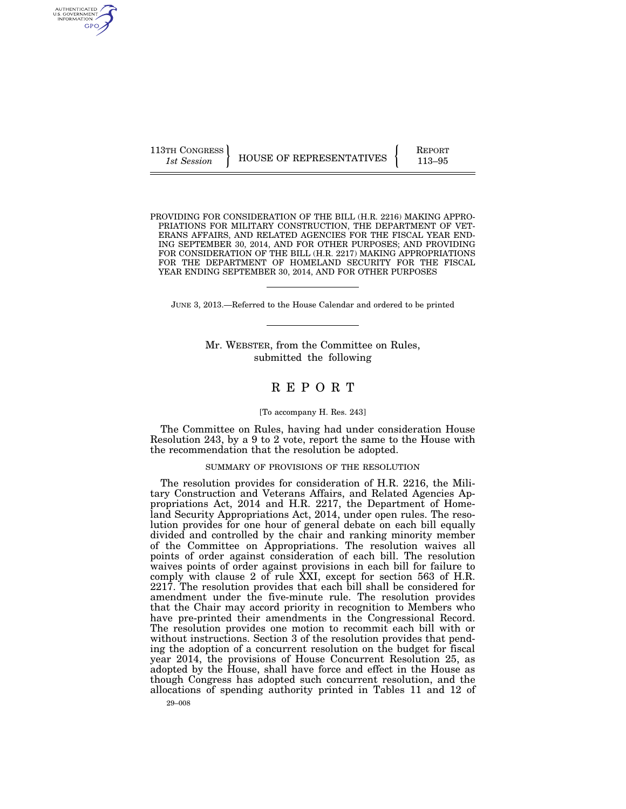113TH CONGRESS **REPORT 113-95** HOUSE OF REPRESENTATIVES **113–95** 

PROVIDING FOR CONSIDERATION OF THE BILL (H.R. 2216) MAKING APPRO-PRIATIONS FOR MILITARY CONSTRUCTION, THE DEPARTMENT OF VET-ERANS AFFAIRS, AND RELATED AGENCIES FOR THE FISCAL YEAR END-ING SEPTEMBER 30, 2014, AND FOR OTHER PURPOSES; AND PROVIDING FOR CONSIDERATION OF THE BILL (H.R. 2217) MAKING APPROPRIATIONS FOR THE DEPARTMENT OF HOMELAND SECURITY FOR THE FISCAL YEAR ENDING SEPTEMBER 30, 2014, AND FOR OTHER PURPOSES

JUNE 3, 2013.—Referred to the House Calendar and ordered to be printed

Mr. WEBSTER, from the Committee on Rules, submitted the following

## R E P O R T

#### [To accompany H. Res. 243]

The Committee on Rules, having had under consideration House Resolution 243, by a 9 to 2 vote, report the same to the House with the recommendation that the resolution be adopted.

## SUMMARY OF PROVISIONS OF THE RESOLUTION

The resolution provides for consideration of H.R. 2216, the Military Construction and Veterans Affairs, and Related Agencies Appropriations Act, 2014 and H.R. 2217, the Department of Homeland Security Appropriations Act, 2014, under open rules. The resolution provides for one hour of general debate on each bill equally divided and controlled by the chair and ranking minority member of the Committee on Appropriations. The resolution waives all points of order against consideration of each bill. The resolution waives points of order against provisions in each bill for failure to comply with clause 2 of rule XXI, except for section 563 of H.R. 2217. The resolution provides that each bill shall be considered for amendment under the five-minute rule. The resolution provides that the Chair may accord priority in recognition to Members who have pre-printed their amendments in the Congressional Record. The resolution provides one motion to recommit each bill with or without instructions. Section 3 of the resolution provides that pending the adoption of a concurrent resolution on the budget for fiscal year 2014, the provisions of House Concurrent Resolution 25, as adopted by the House, shall have force and effect in the House as though Congress has adopted such concurrent resolution, and the allocations of spending authority printed in Tables 11 and 12 of

AUTHENTICATED<br>U.S. GOVERNMENT<br>INFORMATION GPO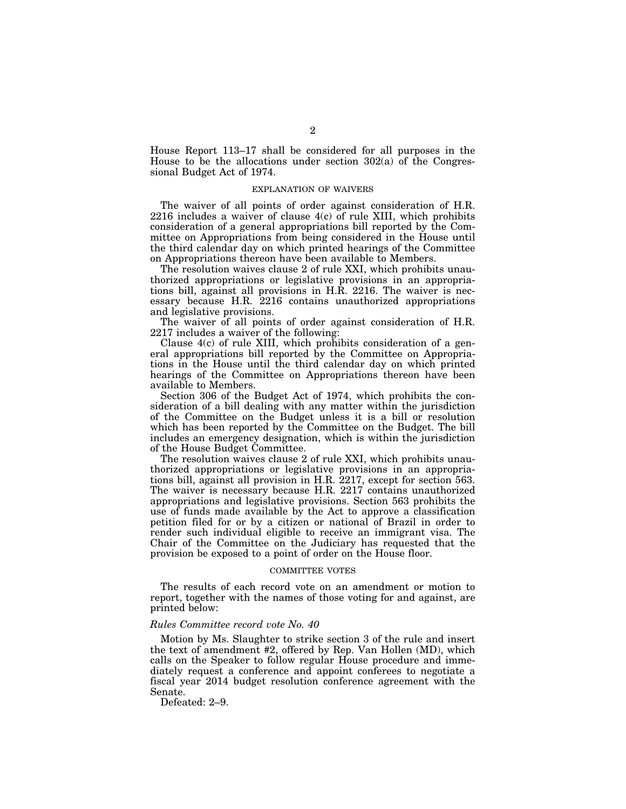House Report 113–17 shall be considered for all purposes in the House to be the allocations under section 302(a) of the Congressional Budget Act of 1974.

### EXPLANATION OF WAIVERS

The waiver of all points of order against consideration of H.R. 2216 includes a waiver of clause 4(c) of rule XIII, which prohibits consideration of a general appropriations bill reported by the Committee on Appropriations from being considered in the House until the third calendar day on which printed hearings of the Committee on Appropriations thereon have been available to Members.

The resolution waives clause 2 of rule XXI, which prohibits unauthorized appropriations or legislative provisions in an appropriations bill, against all provisions in H.R. 2216. The waiver is necessary because H.R. 2216 contains unauthorized appropriations and legislative provisions.

The waiver of all points of order against consideration of H.R. 2217 includes a waiver of the following:

Clause 4(c) of rule XIII, which prohibits consideration of a general appropriations bill reported by the Committee on Appropriations in the House until the third calendar day on which printed hearings of the Committee on Appropriations thereon have been available to Members.

Section 306 of the Budget Act of 1974, which prohibits the consideration of a bill dealing with any matter within the jurisdiction of the Committee on the Budget unless it is a bill or resolution which has been reported by the Committee on the Budget. The bill includes an emergency designation, which is within the jurisdiction of the House Budget Committee.

The resolution waives clause 2 of rule XXI, which prohibits unauthorized appropriations or legislative provisions in an appropriations bill, against all provision in H.R. 2217, except for section 563. The waiver is necessary because H.R. 2217 contains unauthorized appropriations and legislative provisions. Section 563 prohibits the use of funds made available by the Act to approve a classification petition filed for or by a citizen or national of Brazil in order to render such individual eligible to receive an immigrant visa. The Chair of the Committee on the Judiciary has requested that the provision be exposed to a point of order on the House floor.

#### COMMITTEE VOTES

The results of each record vote on an amendment or motion to report, together with the names of those voting for and against, are printed below:

### *Rules Committee record vote No. 40*

Motion by Ms. Slaughter to strike section 3 of the rule and insert the text of amendment #2, offered by Rep. Van Hollen (MD), which calls on the Speaker to follow regular House procedure and immediately request a conference and appoint conferees to negotiate a fiscal year 2014 budget resolution conference agreement with the Senate.

Defeated: 2–9.